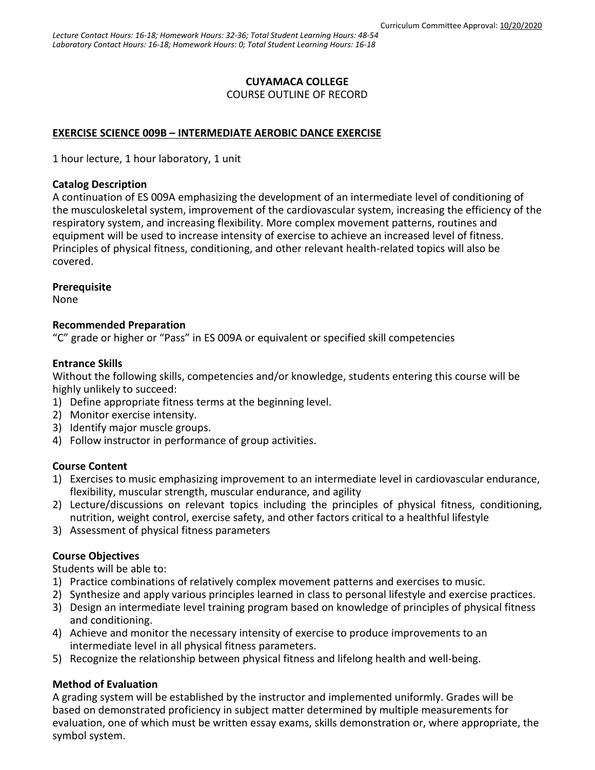# **CUYAMACA COLLEGE**

COURSE OUTLINE OF RECORD

# **EXERCISE SCIENCE 009B – INTERMEDIATE AEROBIC DANCE EXERCISE**

1 hour lecture, 1 hour laboratory, 1 unit

### **Catalog Description**

A continuation of ES 009A emphasizing the development of an intermediate level of conditioning of the musculoskeletal system, improvement of the cardiovascular system, increasing the efficiency of the respiratory system, and increasing flexibility. More complex movement patterns, routines and equipment will be used to increase intensity of exercise to achieve an increased level of fitness. Principles of physical fitness, conditioning, and other relevant health-related topics will also be covered.

### **Prerequisite**

None

### **Recommended Preparation**

"C" grade or higher or "Pass" in ES 009A or equivalent or specified skill competencies

## **Entrance Skills**

Without the following skills, competencies and/or knowledge, students entering this course will be highly unlikely to succeed:

- 1) Define appropriate fitness terms at the beginning level.
- 2) Monitor exercise intensity.
- 3) Identify major muscle groups.
- 4) Follow instructor in performance of group activities.

## **Course Content**

- 1) Exercises to music emphasizing improvement to an intermediate level in cardiovascular endurance, flexibility, muscular strength, muscular endurance, and agility
- 2) Lecture/discussions on relevant topics including the principles of physical fitness, conditioning, nutrition, weight control, exercise safety, and other factors critical to a healthful lifestyle
- 3) Assessment of physical fitness parameters

## **Course Objectives**

Students will be able to:

- 1) Practice combinations of relatively complex movement patterns and exercises to music.
- 2) Synthesize and apply various principles learned in class to personal lifestyle and exercise practices.
- 3) Design an intermediate level training program based on knowledge of principles of physical fitness and conditioning.
- 4) Achieve and monitor the necessary intensity of exercise to produce improvements to an intermediate level in all physical fitness parameters.
- 5) Recognize the relationship between physical fitness and lifelong health and well-being.

## **Method of Evaluation**

A grading system will be established by the instructor and implemented uniformly. Grades will be based on demonstrated proficiency in subject matter determined by multiple measurements for evaluation, one of which must be written essay exams, skills demonstration or, where appropriate, the symbol system.